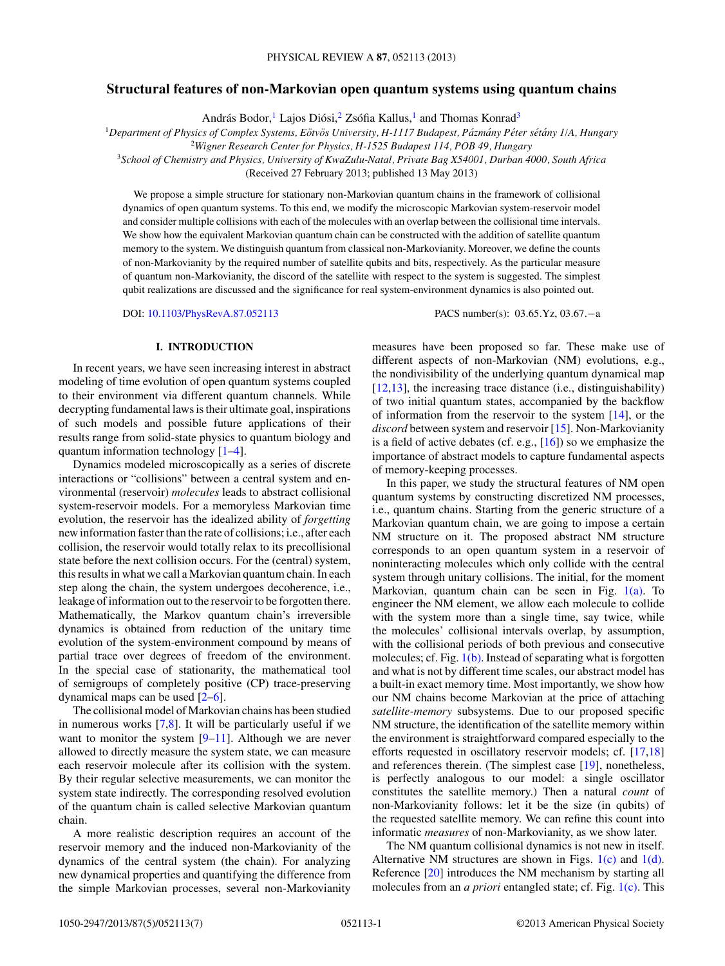# **Structural features of non-Markovian open quantum systems using quantum chains**

András Bodor, <sup>1</sup> Lajos Diósi, <sup>2</sup> Zsófia Kallus, <sup>1</sup> and Thomas Konrad<sup>3</sup>

<sup>1</sup>Department of Physics of Complex Systems, Eötvös University, H-1117 Budapest, Pázmány Péter sétány 1/A, Hungary

<sup>2</sup>*Wigner Research Center for Physics, H-1525 Budapest 114, POB 49, Hungary*

<sup>3</sup>*School of Chemistry and Physics, University of KwaZulu-Natal, Private Bag X54001, Durban 4000, South Africa*

(Received 27 February 2013; published 13 May 2013)

We propose a simple structure for stationary non-Markovian quantum chains in the framework of collisional dynamics of open quantum systems. To this end, we modify the microscopic Markovian system-reservoir model and consider multiple collisions with each of the molecules with an overlap between the collisional time intervals. We show how the equivalent Markovian quantum chain can be constructed with the addition of satellite quantum memory to the system. We distinguish quantum from classical non-Markovianity. Moreover, we define the counts of non-Markovianity by the required number of satellite qubits and bits, respectively. As the particular measure of quantum non-Markovianity, the discord of the satellite with respect to the system is suggested. The simplest qubit realizations are discussed and the significance for real system-environment dynamics is also pointed out.

DOI: [10.1103/PhysRevA.87.052113](http://dx.doi.org/10.1103/PhysRevA.87.052113) PACS number(s): 03*.*65*.*Yz, 03*.*67*.*−a

# **I. INTRODUCTION**

In recent years, we have seen increasing interest in abstract modeling of time evolution of open quantum systems coupled to their environment via different quantum channels. While decrypting fundamental laws is their ultimate goal, inspirations of such models and possible future applications of their results range from solid-state physics to quantum biology and quantum information technology [\[1–4\]](#page-6-0).

Dynamics modeled microscopically as a series of discrete interactions or "collisions" between a central system and environmental (reservoir) *molecules* leads to abstract collisional system-reservoir models. For a memoryless Markovian time evolution, the reservoir has the idealized ability of *forgetting* new information faster than the rate of collisions; i.e., after each collision, the reservoir would totally relax to its precollisional state before the next collision occurs. For the (central) system, this results in what we call a Markovian quantum chain. In each step along the chain, the system undergoes decoherence, i.e., leakage of information out to the reservoir to be forgotten there. Mathematically, the Markov quantum chain's irreversible dynamics is obtained from reduction of the unitary time evolution of the system-environment compound by means of partial trace over degrees of freedom of the environment. In the special case of stationarity, the mathematical tool of semigroups of completely positive (CP) trace-preserving dynamical maps can be used [\[2–6\]](#page-6-0).

The collisional model of Markovian chains has been studied in numerous works  $[7,8]$ . It will be particularly useful if we want to monitor the system [\[9–11\]](#page-6-0). Although we are never allowed to directly measure the system state, we can measure each reservoir molecule after its collision with the system. By their regular selective measurements, we can monitor the system state indirectly. The corresponding resolved evolution of the quantum chain is called selective Markovian quantum chain.

A more realistic description requires an account of the reservoir memory and the induced non-Markovianity of the dynamics of the central system (the chain). For analyzing new dynamical properties and quantifying the difference from the simple Markovian processes, several non-Markovianity measures have been proposed so far. These make use of different aspects of non-Markovian (NM) evolutions, e.g., the nondivisibility of the underlying quantum dynamical map [\[12,13\]](#page-6-0), the increasing trace distance (i.e., distinguishability) of two initial quantum states, accompanied by the backflow of information from the reservoir to the system [\[14\]](#page-6-0), or the *discord* between system and reservoir [\[15\]](#page-6-0). Non-Markovianity is a field of active debates (cf. e.g., [\[16\]](#page-6-0)) so we emphasize the importance of abstract models to capture fundamental aspects of memory-keeping processes.

In this paper, we study the structural features of NM open quantum systems by constructing discretized NM processes, i.e., quantum chains. Starting from the generic structure of a Markovian quantum chain, we are going to impose a certain NM structure on it. The proposed abstract NM structure corresponds to an open quantum system in a reservoir of noninteracting molecules which only collide with the central system through unitary collisions. The initial, for the moment Markovian, quantum chain can be seen in Fig.  $1(a)$ . To engineer the NM element, we allow each molecule to collide with the system more than a single time, say twice, while the molecules' collisional intervals overlap, by assumption, with the collisional periods of both previous and consecutive molecules; cf. Fig. [1\(b\).](#page-1-0) Instead of separating what is forgotten and what is not by different time scales, our abstract model has a built-in exact memory time. Most importantly, we show how our NM chains become Markovian at the price of attaching *satellite-memory* subsystems. Due to our proposed specific NM structure, the identification of the satellite memory within the environment is straightforward compared especially to the efforts requested in oscillatory reservoir models; cf. [\[17,18\]](#page-6-0) and references therein. (The simplest case [\[19\]](#page-6-0), nonetheless, is perfectly analogous to our model: a single oscillator constitutes the satellite memory.) Then a natural *count* of non-Markovianity follows: let it be the size (in qubits) of the requested satellite memory. We can refine this count into informatic *measures* of non-Markovianity, as we show later.

The NM quantum collisional dynamics is not new in itself. Alternative NM structures are shown in Figs.  $1(c)$  and  $1(d)$ . Reference [\[20\]](#page-6-0) introduces the NM mechanism by starting all molecules from an *a priori* entangled state; cf. Fig. [1\(c\).](#page-1-0) This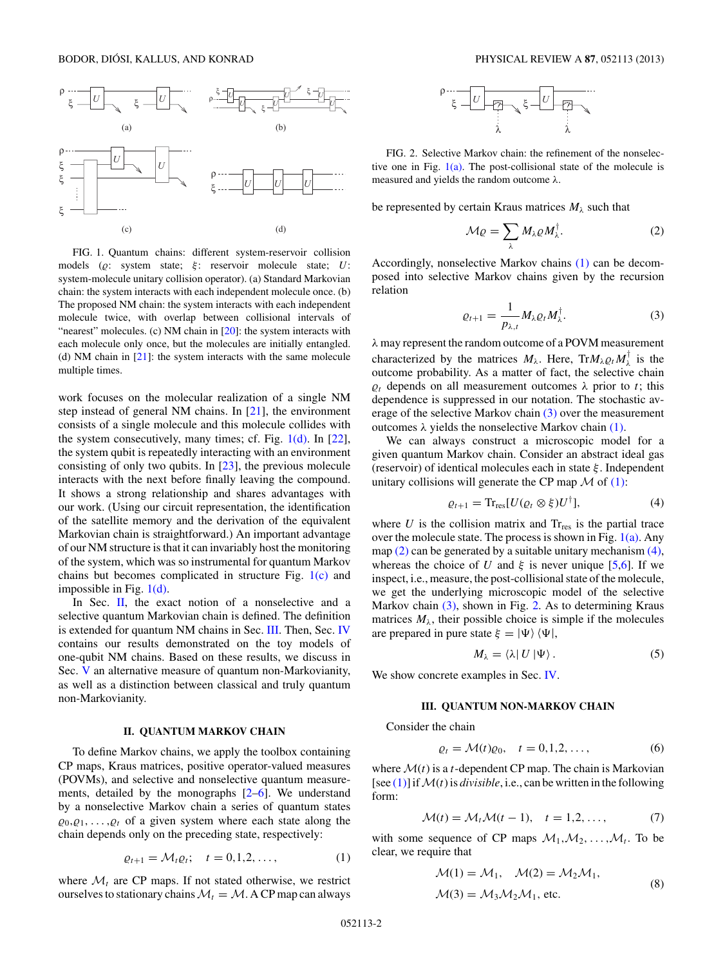<span id="page-1-0"></span>

FIG. 1. Quantum chains: different system-reservoir collision models (*ρ*: system state; ξ : reservoir molecule state; *U*: system-molecule unitary collision operator). (a) Standard Markovian chain: the system interacts with each independent molecule once. (b) The proposed NM chain: the system interacts with each independent molecule twice, with overlap between collisional intervals of "nearest" molecules. (c) NM chain in [\[20\]](#page-6-0): the system interacts with each molecule only once, but the molecules are initially entangled. (d) NM chain in [\[21\]](#page-6-0): the system interacts with the same molecule multiple times.

work focuses on the molecular realization of a single NM step instead of general NM chains. In [\[21\]](#page-6-0), the environment consists of a single molecule and this molecule collides with the system consecutively, many times; cf. Fig. 1(d). In [\[22\]](#page-6-0), the system qubit is repeatedly interacting with an environment consisting of only two qubits. In [\[23\]](#page-6-0), the previous molecule interacts with the next before finally leaving the compound. It shows a strong relationship and shares advantages with our work. (Using our circuit representation, the identification of the satellite memory and the derivation of the equivalent Markovian chain is straightforward.) An important advantage of our NM structure is that it can invariably host the monitoring of the system, which was so instrumental for quantum Markov chains but becomes complicated in structure Fig.  $1(c)$  and impossible in Fig. 1(d).

In Sec.  $II$ , the exact notion of a nonselective and a selective quantum Markovian chain is defined. The definition is extended for quantum NM chains in Sec. III. Then, Sec. [IV](#page-2-0) contains our results demonstrated on the toy models of one-qubit NM chains. Based on these results, we discuss in Sec. [V](#page-4-0) an alternative measure of quantum non-Markovianity, as well as a distinction between classical and truly quantum non-Markovianity.

# **II. QUANTUM MARKOV CHAIN**

To define Markov chains, we apply the toolbox containing CP maps, Kraus matrices, positive operator-valued measures (POVMs), and selective and nonselective quantum measurements, detailed by the monographs [\[2–6\]](#page-6-0). We understand by a nonselective Markov chain a series of quantum states  $\varrho_0, \varrho_1, \ldots, \varrho_t$  of a given system where each state along the chain depends only on the preceding state, respectively:

$$
\varrho_{t+1} = \mathcal{M}_t \varrho_t; \quad t = 0, 1, 2, \dots,
$$
 (1)

where  $\mathcal{M}_t$  are CP maps. If not stated otherwise, we restrict ourselves to stationary chains  $\mathcal{M}_t = \mathcal{M}$ . A CP map can always



FIG. 2. Selective Markov chain: the refinement of the nonselective one in Fig.  $1(a)$ . The post-collisional state of the molecule is measured and yields the random outcome *λ*.

be represented by certain Kraus matrices  $M_\lambda$  such that

$$
\mathcal{M}\varrho = \sum_{\lambda} M_{\lambda} \varrho M_{\lambda}^{\dagger}.
$$
 (2)

Accordingly, nonselective Markov chains (1) can be decomposed into selective Markov chains given by the recursion relation

$$
\varrho_{t+1} = \frac{1}{p_{\lambda,t}} M_{\lambda} \varrho_t M_{\lambda}^{\dagger}.
$$
 (3)

*λ* may represent the random outcome of a POVM measurement characterized by the matrices  $M_{\lambda}$ . Here,  $Tr M_{\lambda} \varrho_t M_{\lambda}^{\dagger}$  is the outcome probability. As a matter of fact, the selective chain  $\rho_t$  depends on all measurement outcomes  $\lambda$  prior to *t*; this dependence is suppressed in our notation. The stochastic average of the selective Markov chain (3) over the measurement outcomes  $λ$  yields the nonselective Markov chain  $(1)$ .

We can always construct a microscopic model for a given quantum Markov chain. Consider an abstract ideal gas (reservoir) of identical molecules each in state *ξ* . Independent unitary collisions will generate the CP map  $\mathcal M$  of (1):

$$
\varrho_{t+1} = \operatorname{Tr}_{\operatorname{res}}[U(\varrho_t \otimes \xi)U^{\dagger}], \tag{4}
$$

where  $U$  is the collision matrix and  $T_{\text{res}}$  is the partial trace over the molecule state. The process is shown in Fig.  $1(a)$ . Any map  $(2)$  can be generated by a suitable unitary mechanism  $(4)$ , whereas the choice of *U* and  $\xi$  is never unique [\[5,6\]](#page-6-0). If we inspect, i.e., measure, the post-collisional state of the molecule, we get the underlying microscopic model of the selective Markov chain (3), shown in Fig. 2. As to determining Kraus matrices  $M_{\lambda}$ , their possible choice is simple if the molecules are prepared in pure state  $\xi = |\Psi\rangle \langle \Psi|$ ,

$$
M_{\lambda} = \langle \lambda | U | \Psi \rangle. \tag{5}
$$

We show concrete examples in Sec. [IV.](#page-2-0)

# **III. QUANTUM NON-MARKOV CHAIN**

Consider the chain

$$
\varrho_t = \mathcal{M}(t)\varrho_0, \quad t = 0, 1, 2, \dots,
$$

where  $\mathcal{M}(t)$  is a *t*-dependent CP map. The chain is Markovian [see  $(1)$ ] if  $\mathcal{M}(t)$  is *divisible*, i.e., can be written in the following form:

$$
\mathcal{M}(t) = \mathcal{M}_t \mathcal{M}(t-1), \quad t = 1, 2, \dots,
$$
 (7)

with some sequence of CP maps  $M_1, M_2, \ldots, M_t$ . To be clear, we require that

$$
\mathcal{M}(1) = \mathcal{M}_1, \quad \mathcal{M}(2) = \mathcal{M}_2 \mathcal{M}_1,
$$
  

$$
\mathcal{M}(3) = \mathcal{M}_3 \mathcal{M}_2 \mathcal{M}_1, \text{ etc.}
$$
 (8)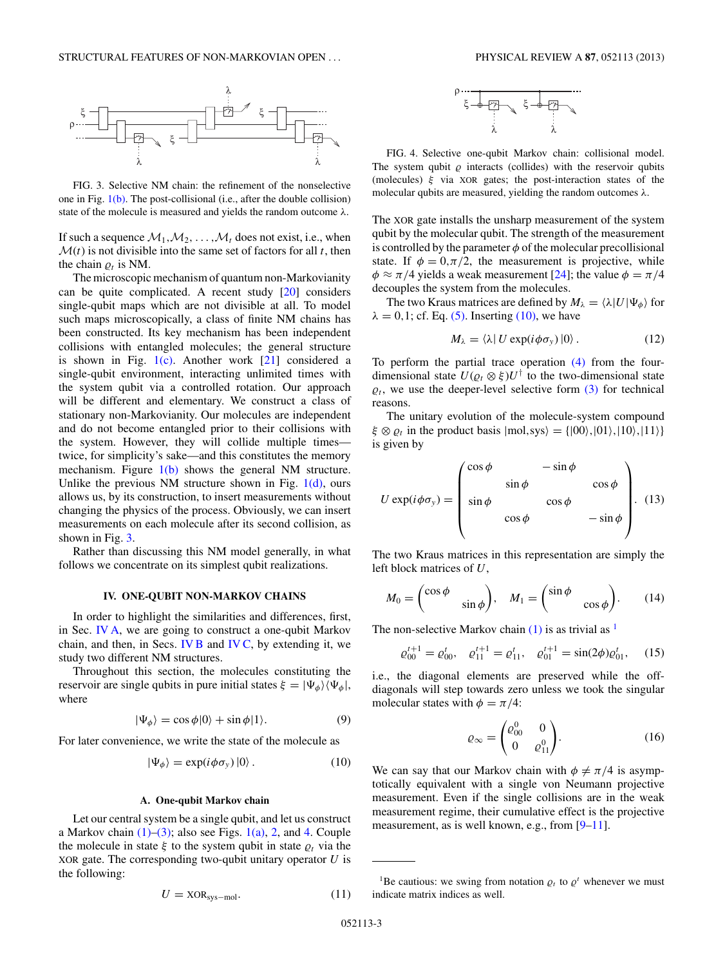<span id="page-2-0"></span>

FIG. 3. Selective NM chain: the refinement of the nonselective one in Fig. [1\(b\).](#page-1-0) The post-collisional (i.e., after the double collision) state of the molecule is measured and yields the random outcome *λ*.

If such a sequence  $\mathcal{M}_1, \mathcal{M}_2, \ldots, \mathcal{M}_t$  does not exist, i.e., when  $\mathcal{M}(t)$  is not divisible into the same set of factors for all *t*, then the chain  $\rho_t$  is NM.

The microscopic mechanism of quantum non-Markovianity can be quite complicated. A recent study [\[20\]](#page-6-0) considers single-qubit maps which are not divisible at all. To model such maps microscopically, a class of finite NM chains has been constructed. Its key mechanism has been independent collisions with entangled molecules; the general structure is shown in Fig.  $1(c)$ . Another work  $[21]$  considered a single-qubit environment, interacting unlimited times with the system qubit via a controlled rotation. Our approach will be different and elementary. We construct a class of stationary non-Markovianity. Our molecules are independent and do not become entangled prior to their collisions with the system. However, they will collide multiple times twice, for simplicity's sake—and this constitutes the memory mechanism. Figure  $1(b)$  shows the general NM structure. Unlike the previous NM structure shown in Fig.  $1(d)$ , ours allows us, by its construction, to insert measurements without changing the physics of the process. Obviously, we can insert measurements on each molecule after its second collision, as shown in Fig. 3.

Rather than discussing this NM model generally, in what follows we concentrate on its simplest qubit realizations.

## **IV. ONE-QUBIT NON-MARKOV CHAINS**

In order to highlight the similarities and differences, first, in Sec. IV A, we are going to construct a one-qubit Markov chain, and then, in Secs. [IV B](#page-3-0) and [IV C,](#page-4-0) by extending it, we study two different NM structures.

Throughout this section, the molecules constituting the reservoir are single qubits in pure initial states  $\xi = |\Psi_{\phi}\rangle \langle \Psi_{\phi}|$ , where

$$
|\Psi_{\phi}\rangle = \cos\phi|0\rangle + \sin\phi|1\rangle. \tag{9}
$$

For later convenience, we write the state of the molecule as

$$
|\Psi_{\phi}\rangle = \exp(i\phi\sigma_{y})|0\rangle. \tag{10}
$$

#### **A. One-qubit Markov chain**

Let our central system be a single qubit, and let us construct a Markov chain  $(1)$ – $(3)$ ; also see Figs. [1\(a\),](#page-1-0) [2,](#page-1-0) and 4. Couple the molecule in state  $\xi$  to the system qubit in state  $\varrho_t$  via the XOR gate. The corresponding two-qubit unitary operator *U* is the following:

$$
U = \text{XOR}_{\text{sys-mol}}.\tag{11}
$$



FIG. 4. Selective one-qubit Markov chain: collisional model. The system qubit  $\rho$  interacts (collides) with the reservoir qubits (molecules) *ξ* via XOR gates; the post-interaction states of the molecular qubits are measured, yielding the random outcomes *λ*.

The XOR gate installs the unsharp measurement of the system qubit by the molecular qubit. The strength of the measurement is controlled by the parameter  $\phi$  of the molecular precollisional state. If  $\phi = 0, \pi/2$ , the measurement is projective, while  $\phi \approx \pi/4$  yields a weak measurement [\[24\]](#page-6-0); the value  $\phi = \pi/4$ decouples the system from the molecules.

The two Kraus matrices are defined by  $M_{\lambda} = \langle \lambda | U | \Psi_{\phi} \rangle$  for  $\lambda = 0, 1$ ; cf. Eq. [\(5\).](#page-1-0) Inserting (10), we have

$$
M_{\lambda} = \langle \lambda | U \exp(i \phi \sigma_{y}) | 0 \rangle. \tag{12}
$$

To perform the partial trace operation [\(4\)](#page-1-0) from the fourdimensional state  $U(\varrho_t \otimes \xi)U^{\dagger}$  to the two-dimensional state  $\varrho_t$ , we use the deeper-level selective form  $(3)$  for technical reasons.

The unitary evolution of the molecule-system compound  $\xi \otimes \varrho_t$  in the product basis  $|mol,sys\rangle = \{|00\rangle, |01\rangle, |10\rangle, |11\rangle\}$ is given by

$$
U \exp(i\phi \sigma_{y}) = \begin{pmatrix} \cos \phi & -\sin \phi & \\ \sin \phi & \cos \phi & \\ \sin \phi & \cos \phi & -\sin \phi \end{pmatrix} . \tag{13}
$$

The two Kraus matrices in this representation are simply the left block matrices of *U*,

$$
M_0 = \begin{pmatrix} \cos \phi & \\ & \sin \phi \end{pmatrix}, \quad M_1 = \begin{pmatrix} \sin \phi & \\ & \cos \phi \end{pmatrix} . \tag{14}
$$

The non-selective Markov chain  $(1)$  is as trivial as <sup>1</sup>

$$
\varrho_{00}^{t+1} = \varrho_{00}^t, \quad \varrho_{11}^{t+1} = \varrho_{11}^t, \quad \varrho_{01}^{t+1} = \sin(2\phi)\varrho_{01}^t, \quad (15)
$$

i.e., the diagonal elements are preserved while the offdiagonals will step towards zero unless we took the singular molecular states with  $\phi = \pi/4$ :

$$
\varrho_{\infty} = \begin{pmatrix} \varrho_{00}^0 & 0 \\ 0 & \varrho_{11}^0 \end{pmatrix} . \tag{16}
$$

We can say that our Markov chain with  $\phi \neq \pi/4$  is asymptotically equivalent with a single von Neumann projective measurement. Even if the single collisions are in the weak measurement regime, their cumulative effect is the projective measurement, as is well known, e.g., from [\[9–11\]](#page-6-0).

<sup>&</sup>lt;sup>1</sup>Be cautious: we swing from notation  $\rho_t$  to  $\rho^t$  whenever we must indicate matrix indices as well.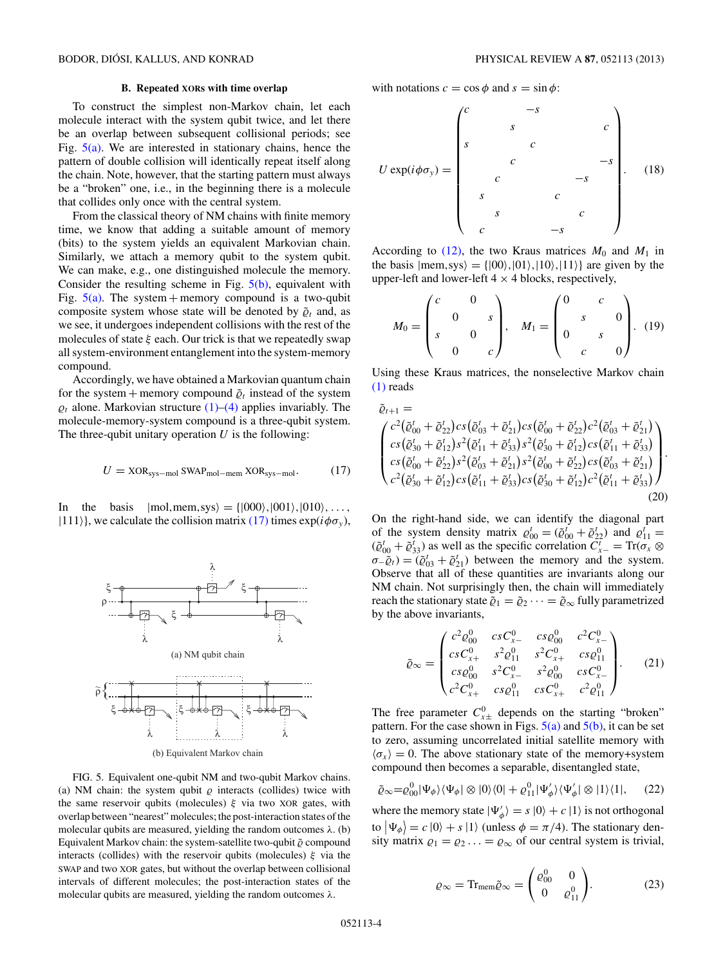<span id="page-3-0"></span>To construct the simplest non-Markov chain, let each molecule interact with the system qubit twice, and let there be an overlap between subsequent collisional periods; see Fig.  $5(a)$ . We are interested in stationary chains, hence the pattern of double collision will identically repeat itself along the chain. Note, however, that the starting pattern must always be a "broken" one, i.e., in the beginning there is a molecule that collides only once with the central system.

From the classical theory of NM chains with finite memory time, we know that adding a suitable amount of memory (bits) to the system yields an equivalent Markovian chain. Similarly, we attach a memory qubit to the system qubit. We can make, e.g., one distinguished molecule the memory. Consider the resulting scheme in Fig. 5(b), equivalent with Fig.  $5(a)$ . The system + memory compound is a two-qubit composite system whose state will be denoted by  $\tilde{\varrho}_t$  and, as we see, it undergoes independent collisions with the rest of the molecules of state *ξ* each. Our trick is that we repeatedly swap all system-environment entanglement into the system-memory compound.

Accordingly, we have obtained a Markovian quantum chain for the system + memory compound  $\tilde{\varrho}_t$  instead of the system  $\rho_t$  alone. Markovian structure  $(1)$ – $(4)$  applies invariably. The molecule-memory-system compound is a three-qubit system. The three-qubit unitary operation *U* is the following:

$$
U = \text{XOR}_{\text{sys-mol}} \text{SWAP}_{\text{mol-mem}} \text{XOR}_{\text{sys-mol}}.
$$
 (17)

In the basis  $|mol, mem,sys\rangle = \{|000\rangle, |001\rangle, |010\rangle, \ldots,$  $|111\rangle$ , we calculate the collision matrix (17) times  $\exp(i\phi\sigma_{\nu})$ ,



FIG. 5. Equivalent one-qubit NM and two-qubit Markov chains. (a) NM chain: the system qubit  $\rho$  interacts (collides) twice with the same reservoir qubits (molecules) *ξ* via two XOR gates, with overlap between "nearest" molecules; the post-interaction states of the molecular qubits are measured, yielding the random outcomes *λ*. (b) Equivalent Markov chain: the system-satellite two-qubit  $\tilde{\varrho}$  compound interacts (collides) with the reservoir qubits (molecules) *ξ* via the SWAP and two XOR gates, but without the overlap between collisional intervals of different molecules; the post-interaction states of the molecular qubits are measured, yielding the random outcomes *λ*.

with notations  $c = \cos \phi$  and  $s = \sin \phi$ :

$$
U \exp(i\phi \sigma_y) = \begin{pmatrix} c & -s & & & \\ & s & & & c \\ s & & c & & \\ & c & & -s & \\ & s & & c & \\ & & & c & & \\ & & & & c & \\ & & & & & -s \end{pmatrix} . \quad (18)
$$

According to  $(12)$ , the two Kraus matrices  $M_0$  and  $M_1$  in the basis  $|mem,sys\rangle = \{|00\rangle, |01\rangle, |10\rangle, |11\rangle\}$  are given by the upper-left and lower-left  $4 \times 4$  blocks, respectively,

$$
M_0 = \begin{pmatrix} c & 0 \\ 0 & s \\ s & 0 \\ 0 & c \end{pmatrix}, \quad M_1 = \begin{pmatrix} 0 & c \\ s & 0 \\ 0 & s \\ c & 0 \end{pmatrix}. \tag{19}
$$

Using these Kraus matrices, the nonselective Markov chain [\(1\)](#page-1-0) reads

$$
\tilde{\varrho}_{t+1} = \begin{pmatrix}\nc^2(\tilde{\varrho}_{00}^t + \tilde{\varrho}_{22}^t) cs (\tilde{\varrho}_{03}^t + \tilde{\varrho}_{21}^t) cs (\tilde{\varrho}_{00}^t + \tilde{\varrho}_{22}^t) c^2 (\tilde{\varrho}_{03}^t + \tilde{\varrho}_{21}^t) \\
cs (\tilde{\varrho}_{30}^t + \tilde{\varrho}_{12}^t) s^2 (\tilde{\varrho}_{11}^t + \tilde{\varrho}_{33}^t) s^2 (\tilde{\varrho}_{30}^t + \tilde{\varrho}_{12}^t) cs (\tilde{\varrho}_{11}^t + \tilde{\varrho}_{33}^t) \\
cs (\tilde{\varrho}_{00}^t + \tilde{\varrho}_{22}^t) s^2 (\tilde{\varrho}_{03}^t + \tilde{\varrho}_{21}^t) s^2 (\tilde{\varrho}_{00}^t + \tilde{\varrho}_{22}^t) cs (\tilde{\varrho}_{03}^t + \tilde{\varrho}_{21}^t) \\
c^2 (\tilde{\varrho}_{30}^t + \tilde{\varrho}_{12}^t) cs (\tilde{\varrho}_{11}^t + \tilde{\varrho}_{33}^t) cs (\tilde{\varrho}_{30}^t + \tilde{\varrho}_{12}^t) c^2 (\tilde{\varrho}_{11}^t + \tilde{\varrho}_{33}^t) \end{pmatrix} . \tag{20}
$$

On the right-hand side, we can identify the diagonal part of the system density matrix  $\varrho_{00}^t = (\tilde{\varrho}_{00}^t + \tilde{\varrho}_{22}^t)$  and  $\varrho_{11}^t =$  $(\tilde{\varrho}_{00}^t + \tilde{\varrho}_{33}^t)$  as well as the specific correlation  $\tilde{C}_{x-}^t = \text{Tr}(\tilde{\sigma}_x \otimes$  $\sigma$ <sup>-</sup> $\tilde{\varrho}_t$ ) =  $(\tilde{\varrho}_{03}^t + \tilde{\varrho}_{21}^t)$  between the memory and the system. Observe that all of these quantities are invariants along our NM chain. Not surprisingly then, the chain will immediately reach the stationary state  $\tilde{\varrho}_1 = \tilde{\varrho}_2 \cdots = \tilde{\varrho}_\infty$  fully parametrized by the above invariants,

$$
\tilde{\varrho}_{\infty} = \begin{pmatrix} c^2 \varrho_{00}^0 & csC_{x}^0 & cs\varrho_{00}^0 & c^2 C_{x}^0 \\ csC_{x}^0 & s^2 \varrho_{11}^0 & s^2 C_{x}^0 & cs\varrho_{11}^0 \\ cs\varrho_{00}^0 & s^2 C_{x}^0 & s^2 \varrho_{00}^0 & csC_{x}^0 \\ c^2 C_{x}^0 & cs\varrho_{11}^0 & csC_{x}^0 & c^2 \varrho_{11}^0 \end{pmatrix} . \tag{21}
$$

The free parameter  $C_{x\pm}^0$  depends on the starting "broken" pattern. For the case shown in Figs.  $5(a)$  and  $5(b)$ , it can be set to zero, assuming uncorrelated initial satellite memory with  $\langle \sigma_{x} \rangle = 0$ . The above stationary state of the memory+system compound then becomes a separable, disentangled state,

$$
\tilde{\varrho}_{\infty} = \varrho_{00}^{0} |\Psi_{\phi}\rangle\langle\Psi_{\phi}| \otimes |0\rangle\langle0| + \varrho_{11}^{0} |\Psi_{\phi}'\rangle\langle\Psi_{\phi}'| \otimes |1\rangle\langle1|, \qquad (22)
$$

where the memory state  $|\Psi_{\phi}'\rangle = s |0\rangle + c |1\rangle$  is not orthogonal to  $|\Psi_{\phi}\rangle = c |0\rangle + s |1\rangle$  (unless  $\phi = \pi/4$ ). The stationary density matrix  $\rho_1 = \rho_2 ... = \rho_\infty$  of our central system is trivial,

$$
\varrho_{\infty} = \text{Tr}_{\text{mem}}\tilde{\varrho}_{\infty} = \begin{pmatrix} \varrho_{00}^0 & 0 \\ 0 & \varrho_{11}^0 \end{pmatrix} . \tag{23}
$$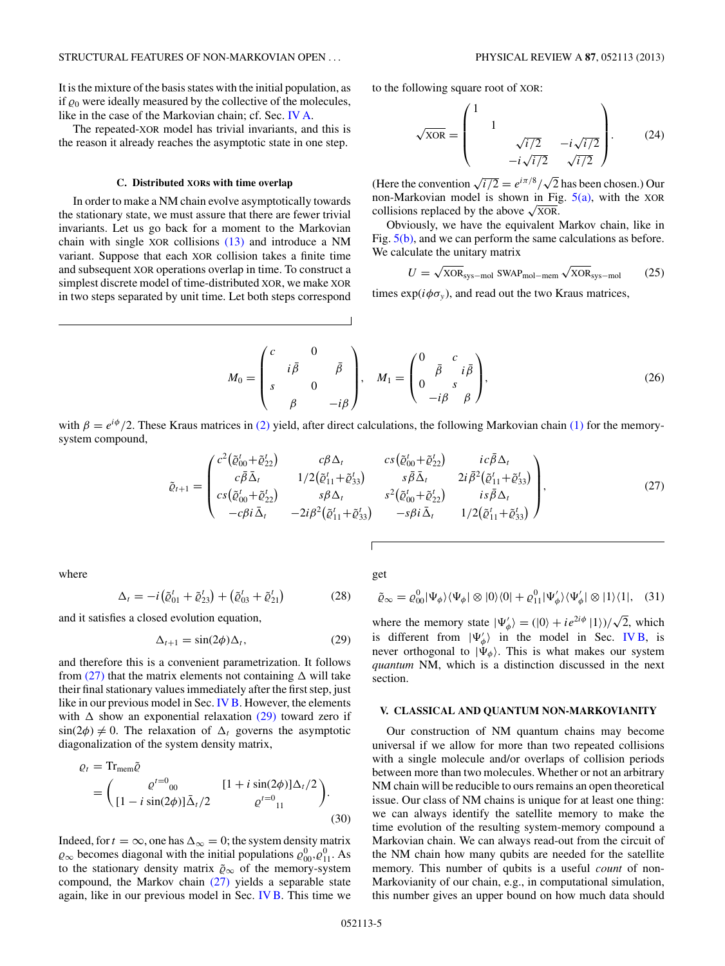<span id="page-4-0"></span>It is the mixture of the basis states with the initial population, as if  $\varrho_0$  were ideally measured by the collective of the molecules, like in the case of the Markovian chain; cf. Sec. [IV A.](#page-2-0)

The repeated-XOR model has trivial invariants, and this is the reason it already reaches the asymptotic state in one step.

### **C. Distributed XORs with time overlap**

In order to make a NM chain evolve asymptotically towards the stationary state, we must assure that there are fewer trivial invariants. Let us go back for a moment to the Markovian chain with single XOR collisions [\(13\)](#page-2-0) and introduce a NM variant. Suppose that each XOR collision takes a finite time and subsequent XOR operations overlap in time. To construct a simplest discrete model of time-distributed XOR, we make XOR in two steps separated by unit time. Let both steps correspond to the following square root of XOR:

$$
\sqrt{\text{XOR}} = \begin{pmatrix} 1 & & & \\ & 1 & & \\ & & \sqrt{i/2} & -i\sqrt{i/2} \\ & & -i\sqrt{i/2} & \sqrt{i/2} \end{pmatrix} . \tag{24}
$$

(Here the convention  $\sqrt{i/2} = e^{i\pi/8}/\sqrt{2}$  has been chosen.) Our non-Markovian model is shown in Fig.  $5(a)$ , with the XOR collisions replaced by the above  $\sqrt{XOR}$ .

Obviously, we have the equivalent Markov chain, like in Fig.  $5(b)$ , and we can perform the same calculations as before. We calculate the unitary matrix

$$
U = \sqrt{\text{XOR}}_{\text{sys-mol}} \text{SWAP}_{\text{mol-mem}} \sqrt{\text{XOR}}_{\text{sys-mol}} \tag{25}
$$

times  $\exp(i\phi\sigma_v)$ , and read out the two Kraus matrices,

$$
M_0 = \begin{pmatrix} c & 0 \\ i\bar{\beta} & \bar{\beta} \\ s & 0 & -i\beta \end{pmatrix}, \quad M_1 = \begin{pmatrix} 0 & c \\ \bar{\beta} & i\bar{\beta} \\ 0 & s \\ -i\beta & \beta \end{pmatrix},
$$
(26)

with  $\beta = e^{i\phi}/2$ . These Kraus matrices in [\(2\)](#page-1-0) yield, after direct calculations, the following Markovian chain [\(1\)](#page-1-0) for the memorysystem compound,

$$
\tilde{\varrho}_{t+1} = \begin{pmatrix} c^{2} (\tilde{\varrho}_{00}^{t} + \tilde{\varrho}_{22}^{t}) & c \beta \Delta_{t} & cs (\tilde{\varrho}_{00}^{t} + \tilde{\varrho}_{22}^{t}) & ic \bar{\beta} \Delta_{t} \\ c \bar{\beta} \bar{\Delta}_{t} & 1/2 (\tilde{\varrho}_{11}^{t} + \tilde{\varrho}_{33}^{t}) & s \bar{\beta} \bar{\Delta}_{t} & 2i \bar{\beta}^{2} (\tilde{\varrho}_{11}^{t} + \tilde{\varrho}_{33}^{t}) \\ cs (\tilde{\varrho}_{00}^{t} + \tilde{\varrho}_{22}^{t}) & s \beta \Delta_{t} & s^{2} (\tilde{\varrho}_{00}^{t} + \tilde{\varrho}_{22}^{t}) & is \bar{\beta} \Delta_{t} \\ -c \beta i \bar{\Delta}_{t} & -2i \beta^{2} (\tilde{\varrho}_{11}^{t} + \tilde{\varrho}_{33}^{t}) & -s \beta i \bar{\Delta}_{t} & 1/2 (\tilde{\varrho}_{11}^{t} + \tilde{\varrho}_{33}^{t}) \end{pmatrix},
$$
\n(27)

where

$$
\Delta_t = -i(\tilde{\varrho}_{01}^t + \tilde{\varrho}_{23}^t) + (\tilde{\varrho}_{03}^t + \tilde{\varrho}_{21}^t) \tag{28}
$$

and it satisfies a closed evolution equation,

$$
\Delta_{t+1} = \sin(2\phi)\Delta_t, \tag{29}
$$

and therefore this is a convenient parametrization. It follows from  $(27)$  that the matrix elements not containing  $\Delta$  will take their final stationary values immediately after the first step, just like in our previous model in Sec. [IV B.](#page-3-0) However, the elements with  $\Delta$  show an exponential relaxation (29) toward zero if  $\sin(2\phi) \neq 0$ . The relaxation of  $\Delta_t$  governs the asymptotic diagonalization of the system density matrix,

$$
\varrho_{t} = \text{Tr}_{\text{mem}}\tilde{\varrho}
$$
\n
$$
= \begin{pmatrix} \varrho^{t=0} & [1 + i \sin(2\phi)]\Delta_{t}/2 \\ [1 - i \sin(2\phi)]\bar{\Delta}_{t}/2 & \varrho^{t=0} \\ [1 - i \cos(2\phi)]\bar{\Delta}_{t}/2 & \varrho^{t=0} \end{pmatrix} .
$$
\n(30)

Indeed, for  $t = \infty$ , one has  $\Delta_{\infty} = 0$ ; the system density matrix  $\varrho_{\infty}$  becomes diagonal with the initial populations  $\varrho_{00}^0, \varrho_{11}^0$ . As to the stationary density matrix  $\tilde{\varrho}_{\infty}$  of the memory-system compound, the Markov chain (27) yields a separable state again, like in our previous model in Sec. [IV B.](#page-3-0) This time we

get

$$
\tilde{\varrho}_{\infty} = \varrho_{00}^{0} |\Psi_{\phi}\rangle\langle\Psi_{\phi}| \otimes |0\rangle\langle0| + \varrho_{11}^{0} |\Psi_{\phi}'\rangle\langle\Psi_{\phi}'| \otimes |1\rangle\langle1|, (31)
$$

where the memory state  $|\Psi_{\phi}'\rangle = (|0\rangle + ie^{2i\phi}|1\rangle)/\sqrt{2}$ , which is different from  $|\Psi_{\phi}\rangle$  in the model in Sec. [IV B,](#page-3-0) is never orthogonal to  $|\Psi_{\phi}\rangle$ . This is what makes our system *quantum* NM, which is a distinction discussed in the next section.

### **V. CLASSICAL AND QUANTUM NON-MARKOVIANITY**

Our construction of NM quantum chains may become universal if we allow for more than two repeated collisions with a single molecule and/or overlaps of collision periods between more than two molecules. Whether or not an arbitrary NM chain will be reducible to ours remains an open theoretical issue. Our class of NM chains is unique for at least one thing: we can always identify the satellite memory to make the time evolution of the resulting system-memory compound a Markovian chain. We can always read-out from the circuit of the NM chain how many qubits are needed for the satellite memory. This number of qubits is a useful *count* of non-Markovianity of our chain, e.g., in computational simulation, this number gives an upper bound on how much data should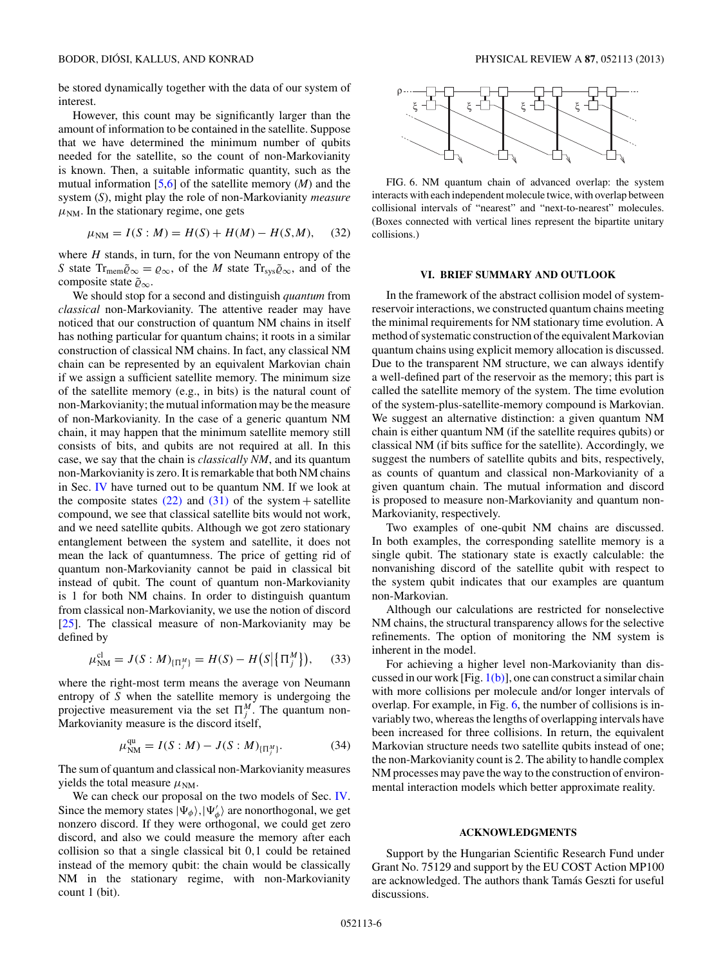be stored dynamically together with the data of our system of interest.

However, this count may be significantly larger than the amount of information to be contained in the satellite. Suppose that we have determined the minimum number of qubits needed for the satellite, so the count of non-Markovianity is known. Then, a suitable informatic quantity, such as the mutual information [\[5,6\]](#page-6-0) of the satellite memory (*M*) and the system (*S*), might play the role of non-Markovianity *measure*  $\mu_{NM}$ . In the stationary regime, one gets

$$
\mu_{NM} = I(S : M) = H(S) + H(M) - H(S, M), \quad (32)
$$

where *H* stands, in turn, for the von Neumann entropy of the *S* state  $Tr_{mem}\tilde{\varrho}_{\infty} = \varrho_{\infty}$ , of the *M* state  $Tr_{sys}\tilde{\varrho}_{\infty}$ , and of the composite state ˜*-*∞.

We should stop for a second and distinguish *quantum* from *classical* non-Markovianity. The attentive reader may have noticed that our construction of quantum NM chains in itself has nothing particular for quantum chains; it roots in a similar construction of classical NM chains. In fact, any classical NM chain can be represented by an equivalent Markovian chain if we assign a sufficient satellite memory. The minimum size of the satellite memory (e.g., in bits) is the natural count of non-Markovianity; the mutual information may be the measure of non-Markovianity. In the case of a generic quantum NM chain, it may happen that the minimum satellite memory still consists of bits, and qubits are not required at all. In this case, we say that the chain is *classically NM*, and its quantum non-Markovianity is zero. It is remarkable that both NM chains in Sec. [IV](#page-2-0) have turned out to be quantum NM. If we look at the composite states  $(22)$  and  $(31)$  of the system + satellite compound, we see that classical satellite bits would not work, and we need satellite qubits. Although we got zero stationary entanglement between the system and satellite, it does not mean the lack of quantumness. The price of getting rid of quantum non-Markovianity cannot be paid in classical bit instead of qubit. The count of quantum non-Markovianity is 1 for both NM chains. In order to distinguish quantum from classical non-Markovianity, we use the notion of discord [\[25\]](#page-6-0). The classical measure of non-Markovianity may be defined by

$$
\mu_{\rm NM}^{\rm cl} = J(S:M)_{\{\Pi_j^M\}} = H(S) - H\big(S\big|\{\Pi_j^M\}\big),\tag{33}
$$

where the right-most term means the average von Neumann entropy of *S* when the satellite memory is undergoing the projective measurement via the set  $\Pi_j^M$ . The quantum non-Markovianity measure is the discord itself,

$$
\mu_{\rm NM}^{\rm qu} = I(S:M) - J(S:M)_{\{\Pi_j^M\}}.\tag{34}
$$

The sum of quantum and classical non-Markovianity measures yields the total measure  $μ_{NM}$ .

We can check our proposal on the two models of Sec. [IV.](#page-2-0) Since the memory states  $|\Psi_{\phi}\rangle$ ,  $|\Psi_{\phi}'\rangle$  are nonorthogonal, we get nonzero discord. If they were orthogonal, we could get zero discord, and also we could measure the memory after each collision so that a single classical bit 0*,*1 could be retained instead of the memory qubit: the chain would be classically NM in the stationary regime, with non-Markovianity count 1 (bit).



FIG. 6. NM quantum chain of advanced overlap: the system interacts with each independent molecule twice, with overlap between collisional intervals of "nearest" and "next-to-nearest" molecules. (Boxes connected with vertical lines represent the bipartite unitary collisions.)

## **VI. BRIEF SUMMARY AND OUTLOOK**

In the framework of the abstract collision model of systemreservoir interactions, we constructed quantum chains meeting the minimal requirements for NM stationary time evolution. A method of systematic construction of the equivalent Markovian quantum chains using explicit memory allocation is discussed. Due to the transparent NM structure, we can always identify a well-defined part of the reservoir as the memory; this part is called the satellite memory of the system. The time evolution of the system-plus-satellite-memory compound is Markovian. We suggest an alternative distinction: a given quantum NM chain is either quantum NM (if the satellite requires qubits) or classical NM (if bits suffice for the satellite). Accordingly, we suggest the numbers of satellite qubits and bits, respectively, as counts of quantum and classical non-Markovianity of a given quantum chain. The mutual information and discord is proposed to measure non-Markovianity and quantum non-Markovianity, respectively.

Two examples of one-qubit NM chains are discussed. In both examples, the corresponding satellite memory is a single qubit. The stationary state is exactly calculable: the nonvanishing discord of the satellite qubit with respect to the system qubit indicates that our examples are quantum non-Markovian.

Although our calculations are restricted for nonselective NM chains, the structural transparency allows for the selective refinements. The option of monitoring the NM system is inherent in the model.

For achieving a higher level non-Markovianity than discussed in our work [Fig.  $1(b)$ ], one can construct a similar chain with more collisions per molecule and/or longer intervals of overlap. For example, in Fig. 6, the number of collisions is invariably two, whereas the lengths of overlapping intervals have been increased for three collisions. In return, the equivalent Markovian structure needs two satellite qubits instead of one; the non-Markovianity count is 2. The ability to handle complex NM processes may pave the way to the construction of environmental interaction models which better approximate reality.

### **ACKNOWLEDGMENTS**

Support by the Hungarian Scientific Research Fund under Grant No. 75129 and support by the EU COST Action MP100 are acknowledged. The authors thank Tamas Geszti for useful ´ discussions.